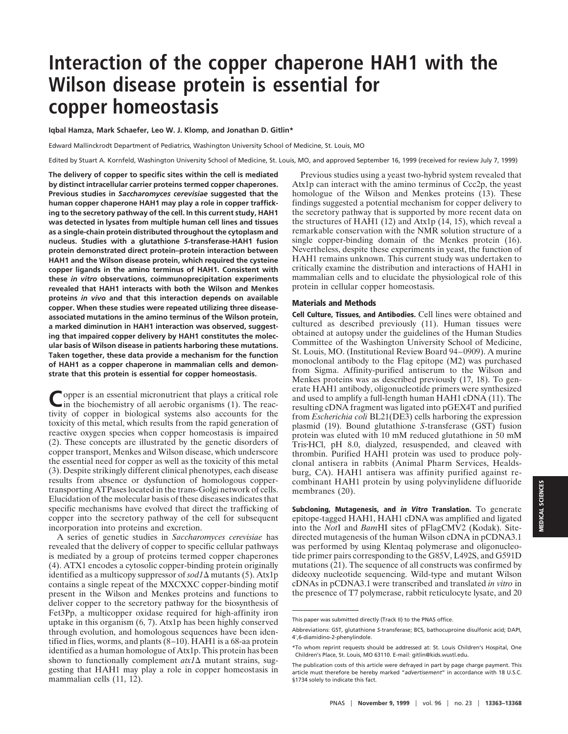## **Interaction of the copper chaperone HAH1 with the Wilson disease protein is essential for copper homeostasis**

**Iqbal Hamza, Mark Schaefer, Leo W. J. Klomp, and Jonathan D. Gitlin\***

Edward Mallinckrodt Department of Pediatrics, Washington University School of Medicine, St. Louis, MO

Edited by Stuart A. Kornfeld, Washington University School of Medicine, St. Louis, MO, and approved September 16, 1999 (received for review July 7, 1999)

**The delivery of copper to specific sites within the cell is mediated by distinct intracellular carrier proteins termed copper chaperones. Previous studies in** *Saccharomyces cerevisiae* **suggested that the human copper chaperone HAH1 may play a role in copper trafficking to the secretory pathway of the cell. In this current study, HAH1 was detected in lysates from multiple human cell lines and tissues as a single-chain protein distributed throughout the cytoplasm and nucleus. Studies with a glutathione** *S***-transferase-HAH1 fusion protein demonstrated direct protein–protein interaction between HAH1 and the Wilson disease protein, which required the cysteine copper ligands in the amino terminus of HAH1. Consistent with these** *in vitro* **observations, coimmunoprecipitation experiments revealed that HAH1 interacts with both the Wilson and Menkes proteins** *in vivo* **and that this interaction depends on available copper. When these studies were repeated utilizing three diseaseassociated mutations in the amino terminus of the Wilson protein, a marked diminution in HAH1 interaction was observed, suggesting that impaired copper delivery by HAH1 constitutes the molecular basis of Wilson disease in patients harboring these mutations. Taken together, these data provide a mechanism for the function of HAH1 as a copper chaperone in mammalian cells and demonstrate that this protein is essential for copper homeostasis.**

Copper is an essential micronutrient that plays a critical role in the biochemistry of all aerobic organisms (1). The reactivity of copper in biological systems also accounts for the toxicity of this metal, which results from the rapid generation of reactive oxygen species when copper homeostasis is impaired (2). These concepts are illustrated by the genetic disorders of copper transport, Menkes and Wilson disease, which underscore the essential need for copper as well as the toxicity of this metal (3). Despite strikingly different clinical phenotypes, each disease results from absence or dysfunction of homologous coppertransporting ATPases located in the trans*-*Golgi network of cells. Elucidation of the molecular basis of these diseases indicates that specific mechanisms have evolved that direct the trafficking of copper into the secretory pathway of the cell for subsequent incorporation into proteins and excretion.

A series of genetic studies in *Saccharomyces cerevisiae* has revealed that the delivery of copper to specific cellular pathways is mediated by a group of proteins termed copper chaperones (4). ATX1 encodes a cytosolic copper-binding protein originally identified as a multicopy suppressor of  $sod1\Delta$  mutants (5). Atx1p contains a single repeat of the MXCXXC copper-binding motif present in the Wilson and Menkes proteins and functions to deliver copper to the secretory pathway for the biosynthesis of Fet3Pp, a multicopper oxidase required for high-affinity iron uptake in this organism (6, 7). Atx1p has been highly conserved through evolution, and homologous sequences have been identified in flies, worms, and plants (8–10). HAH1 is a 68-aa protein identified as a human homologue of Atx1p. This protein has been shown to functionally complement  $atx/2$  mutant strains, suggesting that HAH1 may play a role in copper homeostasis in mammalian cells (11, 12).

Previous studies using a yeast two-hybrid system revealed that Atx1p can interact with the amino terminus of Ccc2p, the yeast homologue of the Wilson and Menkes proteins (13). These findings suggested a potential mechanism for copper delivery to the secretory pathway that is supported by more recent data on the structures of HAH1 (12) and Atx1p (14, 15), which reveal a remarkable conservation with the NMR solution structure of a single copper-binding domain of the Menkes protein (16). Nevertheless, despite these experiments in yeast, the function of HAH1 remains unknown. This current study was undertaken to critically examine the distribution and interactions of HAH1 in mammalian cells and to elucidate the physiological role of this protein in cellular copper homeostasis.

## **Materials and Methods**

**Cell Culture, Tissues, and Antibodies.** Cell lines were obtained and cultured as described previously (11). Human tissues were obtained at autopsy under the guidelines of the Human Studies Committee of the Washington University School of Medicine, St. Louis, MO. (Institutional Review Board 94–0909). A murine monoclonal antibody to the Flag epitope (M2) was purchased from Sigma. Affinity-purified antiserum to the Wilson and Menkes proteins was as described previously (17, 18). To generate HAH1 antibody, oligonucleotide primers were synthesized and used to amplify a full-length human HAH1 cDNA (11). The resulting cDNA fragment was ligated into pGEX4T and purified from *Escherichia coli* BL21(DE3) cells harboring the expression plasmid (19). Bound glutathione *S*-transferase (GST) fusion protein was eluted with 10 mM reduced glutathione in 50 mM Tris•HCl, pH 8.0, dialyzed, resuspended, and cleaved with thrombin. Purified HAH1 protein was used to produce polyclonal antisera in rabbits (Animal Pharm Services, Healdsburg, CA). HAH1 antisera was affinity purified against recombinant HAH1 protein by using polyvinylidene difluoride membranes (20).

**Subcloning, Mutagenesis, and in Vitro Translation.** To generate epitope-tagged HAH1, HAH1 cDNA was amplified and ligated into the *Not*I and *Bam*HI sites of pFlagCMV2 (Kodak). Sitedirected mutagenesis of the human Wilson cDNA in pCDNA3.1 was performed by using Klentaq polymerase and oligonucleotide primer pairs corresponding to the G85V, L492S, and G591D mutations (21). The sequence of all constructs was confirmed by dideoxy nucleotide sequencing. Wild-type and mutant Wilson cDNAs in pCDNA3.1 were transcribed and translated *in vitro* in the presence of T7 polymerase, rabbit reticulocyte lysate, and 20

This paper was submitted directly (Track II) to the PNAS office.

Abbreviations: GST, glutathione *S*-transferase; BCS, bathocuproine disulfonic acid; DAPI, 4'.6-diamidino-2-phenylindole.

<sup>\*</sup>To whom reprint requests should be addressed at: St. Louis Children's Hospital, One Children's Place, St. Louis, MO 63110. E-mail: gitlin@kids.wustl.edu.

The publication costs of this article were defrayed in part by page charge payment. This article must therefore be hereby marked "*advertisement*" in accordance with 18 U.S.C. §1734 solely to indicate this fact.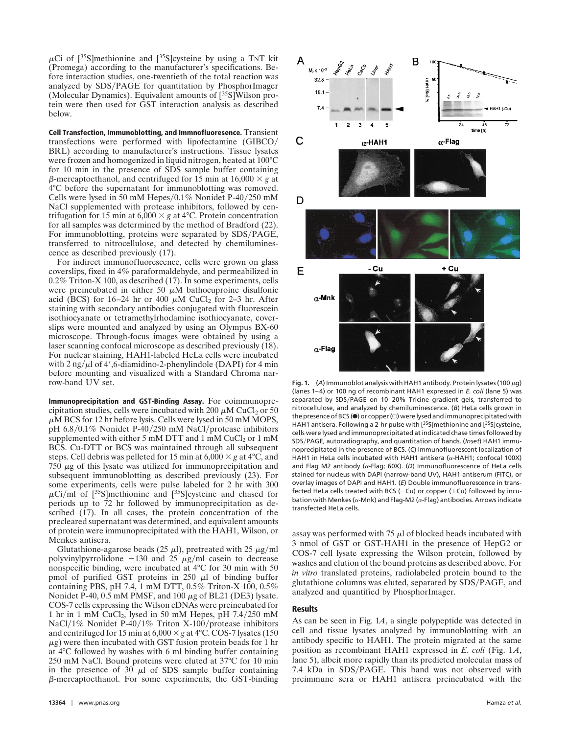$\mu$ Ci of [<sup>35</sup>S]methionine and [<sup>35</sup>S]cysteine by using a TNT kit (Promega) according to the manufacturer's specifications. Before interaction studies, one-twentieth of the total reaction was analyzed by SDS/PAGE for quantitation by PhosphorImager (Molecular Dynamics). Equivalent amounts of [35S]Wilson protein were then used for GST interaction analysis as described below.

**Cell Transfection, Immunoblotting, and Immnofluoresence.** Transient transfections were performed with lipofectamine (GIBCO/ BRL) according to manufacturer's instructions. Tissue lysates were frozen and homogenized in liquid nitrogen, heated at 100°C for 10 min in the presence of SDS sample buffer containing  $\beta$ -mercaptoethanol, and centrifuged for 15 min at 16,000  $\times g$  at 4°C before the supernatant for immunoblotting was removed. Cells were lysed in 50 mM Hepes/0.1% Nonidet P-40/250 mM NaCl supplemented with protease inhibitors, followed by centrifugation for 15 min at  $6,000 \times g$  at 4°C. Protein concentration for all samples was determined by the method of Bradford (22). For immunoblotting, proteins were separated by SDS/PAGE, transferred to nitrocellulose, and detected by chemiluminescence as described previously (17).

For indirect immunofluorescence, cells were grown on glass coverslips, fixed in 4% paraformaldehyde, and permeabilized in 0.2% Triton-X 100, as described (17). In some experiments, cells were preincubated in either 50  $\mu$ M bathocuproine disulfonic acid (BCS) for 16–24 hr or 400  $\mu$ M CuCl<sub>2</sub> for 2–3 hr. After staining with secondary antibodies conjugated with fluorescein isothiocyanate or tetramethylrhodamine isothiocyanate, coverslips were mounted and analyzed by using an Olympus BX-60 microscope. Through-focus images were obtained by using a laser scanning confocal microscope as described previously (18). For nuclear staining, HAH1-labeled HeLa cells were incubated with  $2 \text{ ng/}\mu$  of 4',6-diamidino-2-phenylindole (DAPI) for 4 min before mounting and visualized with a Standard Chroma narrow-band UV set.

**Immunoprecipitation and GST-Binding Assay.** For coimmunoprecipitation studies, cells were incubated with 200  $\mu$ M CuCl<sub>2</sub> or 50  $\mu$ M BCS for 12 hr before lysis. Cells were lysed in 50 mM MOPS, pH 6.8/0.1% Nonidet P-40/250 mM NaCl/protease inhibitors supplemented with either 5 mM DTT and 1 mM  $CuCl<sub>2</sub>$  or 1 mM BCS. Cu-DTT or BCS was maintained through all subsequent steps. Cell debris was pelleted for 15 min at  $6,000 \times g$  at 4<sup>o</sup>C, and 750  $\mu$ g of this lysate was utilized for immunoprecipitation and subsequent immunoblotting as described previously (23). For some experiments, cells were pulse labeled for 2 hr with 300  $\mu$ Ci/ml of [<sup>35</sup>S]methionine and [<sup>35</sup>S]cysteine and chased for periods up to 72 hr followed by immunoprecipitation as described (17). In all cases, the protein concentration of the precleared supernatant was determined, and equivalent amounts of protein were immunoprecipitated with the HAH1, Wilson, or Menkes antisera.

Glutathione-agarose beads (25  $\mu$ l), pretreated with 25  $\mu$ g/ml polyvinylpyrrolidone  $-130$  and 25  $\mu$ g/ml casein to decrease nonspecific binding, were incubated at 4°C for 30 min with 50 pmol of purified GST proteins in  $250 \mu l$  of binding buffer containing PBS, pH 7.4, 1 mM DTT, 0.5% Triton-X 100, 0.5% Nonidet P-40,  $0.\overline{5}$  mM PMSF, and  $100 \mu$ g of BL21 (DE3) lysate. COS-7 cells expressing the Wilson cDNAs were preincubated for 1 hr in 1 mM CuCl<sub>2</sub>, lysed in 50 mM Hepes, pH  $7.4/250$  mM NaCl/1% Nonidet P-40/1% Triton X-100/protease inhibitors and centrifuged for 15 min at  $6,000 \times g$  at 4°C. COS-7 lysates (150)  $\mu$ g) were then incubated with GST fusion protein beads for 1 hr at 4°C followed by washes with 6 ml binding buffer containing 250 mM NaCl. Bound proteins were eluted at 37°C for 10 min in the presence of 30  $\mu$ l of SDS sample buffer containing  $\beta$ -mercaptoethanol. For some experiments, the GST-binding



Fig. 1.  $(A)$  Immunoblot analysis with HAH1 antibody. Protein lysates (100  $\mu$ g) (lanes 1–4) or 100 ng of recombinant HAH1 expressed in *E. coli* (lane 5) was separated by SDS/PAGE on 10-20% Tricine gradient gels, transferred to nitrocellulose, and analyzed by chemiluminescence. (*B*) HeLa cells grown in the presence of BCS  $(\bullet)$  or copper  $\circlearrowright)$  were lysed and immunoprecipitated with HAH1 antisera. Following a 2-hr pulse with [<sup>35</sup>S]methionine and [<sup>35</sup>S]cysteine, cells were lysed and immunoprecipitated at indicated chase times followed by SDSyPAGE, autoradiography, and quantitation of bands. (*Inset*) HAH1 immunoprecipitated in the presence of BCS. (*C*) Immunofluorescent localization of HAH1 in HeLa cells incubated with HAH1 antisera ( $\alpha$ -HAH1; confocal 100X) and Flag M2 antibody (a-Flag; 60X). (*D*) Immunofluorescence of HeLa cells stained for nucleus with DAPI (narrow-band UV), HAH1 antiserum (FITC), or overlay images of DAPI and HAH1. (*E*) Double immunofluorescence in transfected HeLa cells treated with BCS ( $-Cu$ ) or copper ( $+Cu$ ) followed by incubation with Menkes ( $\alpha$ -Mnk) and Flag-M2 ( $\alpha$ -Flag) antibodies. Arrows indicate transfected HeLa cells.

assay was performed with 75  $\mu$ l of blocked beads incubated with 3 nmol of GST or GST-HAH1 in the presence of HepG2 or COS-7 cell lysate expressing the Wilson protein, followed by washes and elution of the bound proteins as described above. For *in vitro* translated proteins, radiolabeled protein bound to the glutathione columns was eluted, separated by SDS/PAGE, and analyzed and quantified by PhosphorImager.

## **Results**

As can be seen in Fig. 1*A*, a single polypeptide was detected in cell and tissue lysates analyzed by immunoblotting with an antibody specific to HAH1. The protein migrated at the same position as recombinant HAH1 expressed in *E. coli* (Fig. 1*A*, lane 5), albeit more rapidly than its predicted molecular mass of 7.4 kDa in SDS/PAGE. This band was not observed with preimmune sera or HAH1 antisera preincubated with the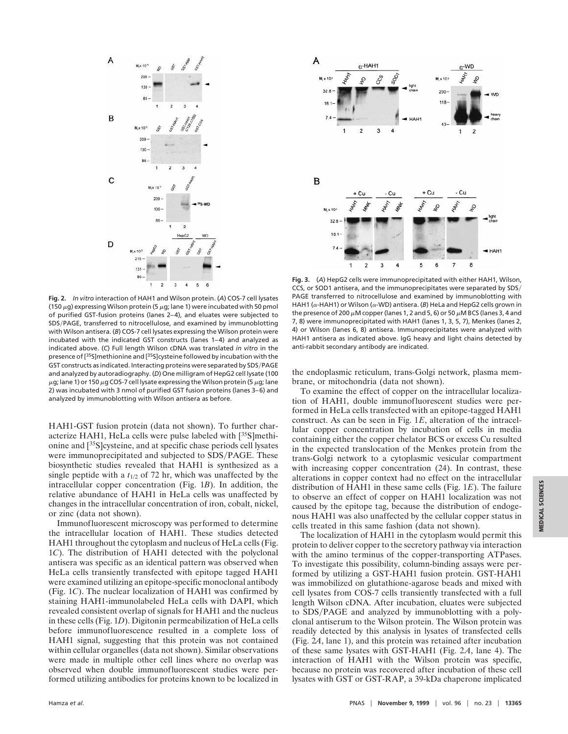

**Fig. 2.** *In vitro* interaction of HAH1 and Wilson protein. (*A*) COS-7 cell lysates (150  $\mu$ g) expressing Wilson protein (5  $\mu$ g; lane 1) were incubated with 50 pmol of purified GST-fusion proteins (lanes 2–4), and eluates were subjected to SDS/PAGE, transferred to nitrocellulose, and examined by immunoblotting with Wilson antisera. (*B*) COS-7 cell lysates expressing the Wilson protein were incubated with the indicated GST constructs (lanes 1–4) and analyzed as indicated above. (*C*) Full length Wilson cDNA was translated *in vitro* in the presence of [35S]methionine and [35S]cysteine followed by incubation with the GST constructs as indicated. Interacting proteins were separated by SDS/PAGE and analyzed by autoradiography. (*D*) One milligram of HepG2 cell lysate (100  $\mu$ g; lane 1) or 150  $\mu$ g COS-7 cell lysate expressing the Wilson protein (5  $\mu$ g; lane 2) was incubated with 3 nmol of purified GST fusion proteins (lanes 3–6) and analyzed by immunoblotting with Wilson antisera as before.

HAH1-GST fusion protein (data not shown). To further characterize HAH1, HeLa cells were pulse labeled with [35S]methionine and [35S]cysteine, and at specific chase periods cell lysates were immunoprecipitated and subjected to SDS/PAGE. These biosynthetic studies revealed that HAH1 is synthesized as a single peptide with a  $t_{1/2}$  of 72 hr, which was unaffected by the intracellular copper concentration (Fig. 1*B*). In addition, the relative abundance of HAH1 in HeLa cells was unaffected by changes in the intracellular concentration of iron, cobalt, nickel, or zinc (data not shown).

Immunofluorescent microscopy was performed to determine the intracellular location of HAH1. These studies detected HAH1 throughout the cytoplasm and nucleus of HeLa cells (Fig. 1*C*). The distribution of HAH1 detected with the polyclonal antisera was specific as an identical pattern was observed when HeLa cells transiently transfected with epitope tagged HAH1 were examined utilizing an epitope-specific monoclonal antibody (Fig. 1*C*). The nuclear localization of HAH1 was confirmed by staining HAH1-immunolabeled HeLa cells with DAPI, which revealed consistent overlap of signals for HAH1 and the nucleus in these cells (Fig. 1*D*). Digitonin permeabilization of HeLa cells before immunofluorescence resulted in a complete loss of HAH1 signal, suggesting that this protein was not contained within cellular organelles (data not shown). Similar observations were made in multiple other cell lines where no overlap was observed when double immunofluorescent studies were performed utilizing antibodies for proteins known to be localized in



**Fig. 3.** (*A*) HepG2 cells were immunoprecipitated with either HAH1, Wilson, CCS, or SOD1 antisera, and the immunoprecipitates were separated by SDS/ PAGE transferred to nitrocellulose and examined by immunoblotting with HAH1 ( $\alpha$ -HAH1) or Wilson ( $\alpha$ -WD) antisera. (*B*) HeLa and HepG2 cells grown in the presence of 200  $\mu$ M copper (lanes 1, 2 and 5, 6) or 50  $\mu$ M BCS (lanes 3, 4 and 7, 8) were immunoprecipitated with HAH1 (lanes 1, 3, 5, 7), Menkes (lanes 2, 4) or Wilson (lanes 6, 8) antisera. Immunoprecipitates were analyzed with HAH1 antisera as indicated above. IgG heavy and light chains detected by anti-rabbit secondary antibody are indicated.

the endoplasmic reticulum, trans*-*Golgi network, plasma membrane, or mitochondria (data not shown).

To examine the effect of copper on the intracellular localization of HAH1, double immunofluorescent studies were performed in HeLa cells transfected with an epitope-tagged HAH1 construct. As can be seen in Fig. 1*E*, alteration of the intracellular copper concentration by incubation of cells in media containing either the copper chelator BCS or excess Cu resulted in the expected translocation of the Menkes protein from the trans-Golgi network to a cytoplasmic vesicular compartment with increasing copper concentration  $(24)$ . In contrast, these alterations in copper context had no effect on the intracellular distribution of HAH1 in these same cells (Fig. 1*E*). The failure to observe an effect of copper on HAH1 localization was not caused by the epitope tag, because the distribution of endogenous HAH1 was also unaffected by the cellular copper status in cells treated in this same fashion (data not shown).

The localization of HAH1 in the cytoplasm would permit this protein to deliver copper to the secretory pathway via interaction with the amino terminus of the copper-transporting ATPases. To investigate this possibility, column-binding assays were performed by utilizing a GST-HAH1 fusion protein. GST-HAH1 was immobilized on glutathione-agarose beads and mixed with cell lysates from COS-7 cells transiently transfected with a full length Wilson cDNA. After incubation, eluates were subjected to SDS/PAGE and analyzed by immunoblotting with a polyclonal antiserum to the Wilson protein. The Wilson protein was readily detected by this analysis in lysates of transfected cells (Fig. 2*A*, lane 1), and this protein was retained after incubation of these same lysates with GST-HAH1 (Fig. 2*A*, lane 4). The interaction of HAH1 with the Wilson protein was specific, because no protein was recovered after incubation of these cell lysates with GST or GST-RAP, a 39-kDa chaperone implicated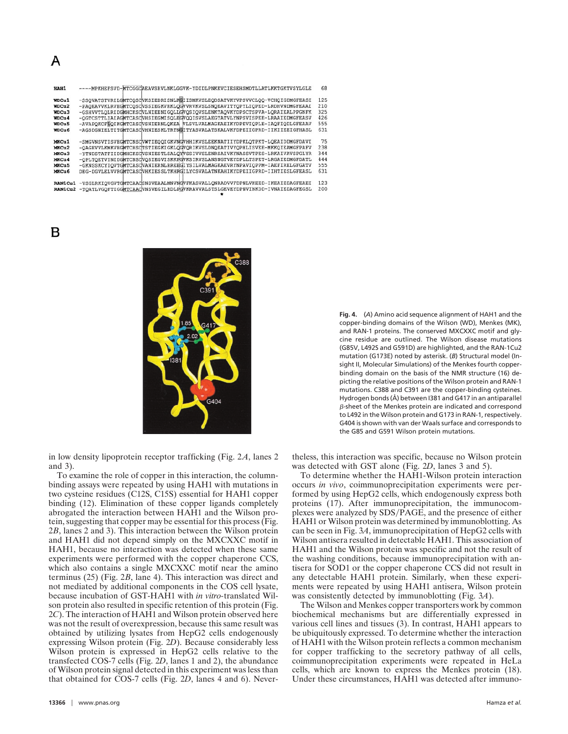| HAH1    | ----MPKHEFSVD-MTCGGCAEAVSRVLNKLGGVK-YDIDLPNKKVCIESEHSMDTLLATLKKTGKTVSYLGLE         | 68  |
|---------|------------------------------------------------------------------------------------|-----|
| WDCu1   | -SSOVATSTVRILGMTCOSCVKSIEDRISNLKGIISMKVSLEODSATVKYVPSVVCLOO-VCHOIGDMGFEASI         | 125 |
| WDCu2   | -PAOEAVVKLRVEGMTCOSCVSSIEGKVRKLOGVVRVKVSLSNOEAVITYOPYLIOPED-LRDHVNDMGFEAAI         | 210 |
| WDCu3   | -GSHVVTLOLRIDGMHCKSCVLNIEENIGOLLGVOSIOVSLENKTAOVKYDPSCTSPVA-LORAIEALPPGNFK         | 325 |
| WDCu4   | -OGTCSTTLIAIAGMTCASCVHSIEGMISOLEGVOOISVSLAEGTATVLYNPSVISPEE-LRAAIEDMGFEASV         | 426 |
| WDCu5   | -AVAPOKCFLOIKGMTCASCVSNIERNLOKEA VLSVLVALMAGKAEIKYDPEVIOPLE-IAOFIODLGFEAAV         | 555 |
| WDCu6   | -AGSDGNIELTITGMTCASCVHNIESKLTRTNGITYASVALATSKALVKFDPEIIGPRD-IIKIIEEIGFHASL         | 631 |
| MKCu1   | -SMGVNSVTISVEGMTCNSCVWTIEOOIGKVNGVHHIKVSLEEKNATIIYDPKLOTPKT-LOEAIDDMGFDAVI         | 75  |
| MKCu2   | -OAGEVVLKMKVEGMTCHSCTSTIEGKIGKLOGVORIKVSLDNOEATIVYOPHLISVEE-MKKOIEAMGFPAFV         | 238 |
| MKCu3   | -YTNDSTATFIIDGMHCKSCVSNIESTLSALOYVSSIVVSLENRSAIVKYNASSVTPES-LRKAIVAVSPGLYR         | 344 |
| MKCu4   | -OPLTOETVINIDGMTCNSCVOSIEGVISKKPGVKSIRVSLANSNGTVEYDPLLTSPET-LRGAIEDMGFDATL         | 444 |
| MKCu5   | -GKNSSKCYIOVTGMTCASCVANIERNLRREEGIYSILVALMAGKAEVRYNPAVIOPPM-IAEFIRELGFGATV         | 555 |
| MKCu6   | DEG-DGVLELVVRGMTCASCVHKIESSLTKHRGILYCSVALATNKAHIKYDPEIIGPRD-IIHTIESLGFEASL         | 631 |
| RAN1Cu1 | -VSGLRKIOVGVTGMTCAACSNSVEAALMNVNGVFKASVALLONRADVVFDPNLVKEED-IKEAIEDAGFEAEI         | 123 |
|         | RANICu2 -TOATLVGQFTIGGMTCAACVNSVEGILRDLFGVKRAVVALSTSLGEVEYDPNVINKDD-IVNAIEDAGFEGSL | 200 |

B



in low density lipoprotein receptor trafficking (Fig. 2*A*, lanes 2

and 3). To examine the role of copper in this interaction, the columnbinding assays were repeated by using HAH1 with mutations in two cysteine residues (C12S, C15S) essential for HAH1 copper binding (12). Elimination of these copper ligands completely abrogated the interaction between HAH1 and the Wilson protein, suggesting that copper may be essential for this process (Fig. 2*B*, lanes 2 and 3). This interaction between the Wilson protein and HAH1 did not depend simply on the MXCXXC motif in HAH1, because no interaction was detected when these same experiments were performed with the copper chaperone CCS, which also contains a single MXCXXC motif near the amino terminus (25) (Fig. 2*B*, lane 4). This interaction was direct and not mediated by additional components in the COS cell lysate, because incubation of GST-HAH1 with *in vitro-*translated Wilson protein also resulted in specific retention of this protein (Fig. 2*C*). The interaction of HAH1 and Wilson protein observed here was not the result of overexpression, because this same result was obtained by utilizing lysates from HepG2 cells endogenously expressing Wilson protein (Fig. 2*D*). Because considerably less Wilson protein is expressed in HepG2 cells relative to the transfected COS-7 cells (Fig. 2*D*, lanes 1 and 2), the abundance of Wilson protein signal detected in this experiment was less than that obtained for COS-7 cells (Fig. 2*D*, lanes 4 and 6). Never**Fig. 4.** (*A*) Amino acid sequence alignment of HAH1 and the copper-binding domains of the Wilson (WD), Menkes (MK), and RAN-1 proteins. The conserved MXCXXC motif and glycine residue are outlined. The Wilson disease mutations (G85V, L492S and G591D) are highlighted, and the RAN-1Cu2 mutation (G173E) noted by asterisk. (*B*) Structural model (Insight II, Molecular Simulations) of the Menkes fourth copperbinding domain on the basis of the NMR structure (16) depicting the relative positions of the Wilson protein and RAN-1 mutations. C388 and C391 are the copper-binding cysteines. Hydrogen bonds (Å) between I381 and G417 in an antiparallel  $\beta$ -sheet of the Menkes protein are indicated and correspond to L492 in the Wilson protein and G173 in RAN-1, respectively. G404 is shown with van der Waals surface and corresponds to the G85 and G591 Wilson protein mutations.

theless, this interaction was specific, because no Wilson protein was detected with GST alone (Fig. 2*D*, lanes 3 and 5).

To determine whether the HAH1-Wilson protein interaction occurs *in vivo*, coimmunoprecipitation experiments were performed by using HepG2 cells, which endogenously express both proteins (17). After immunoprecipitation, the immunocomplexes were analyzed by SDSyPAGE, and the presence of either HAH1 or Wilson protein was determined by immunoblotting. As can be seen in Fig. 3*A*, immunoprecipitation of HepG2 cells with Wilson antisera resulted in detectable HAH1. This association of HAH1 and the Wilson protein was specific and not the result of the washing conditions, because immunoprecipitation with antisera for SOD1 or the copper chaperone CCS did not result in any detectable HAH1 protein. Similarly, when these experiments were repeated by using HAH1 antisera, Wilson protein was consistently detected by immunoblotting (Fig. 3*A*).

The Wilson and Menkes copper transporters work by common biochemical mechanisms but are differentially expressed in various cell lines and tissues (3). In contrast, HAH1 appears to be ubiquitously expressed. To determine whether the interaction of HAH1 with the Wilson protein reflects a common mechanism for copper trafficking to the secretory pathway of all cells, coimmunoprecipitation experiments were repeated in HeLa cells, which are known to express the Menkes protein (18). Under these circumstances, HAH1 was detected after immuno-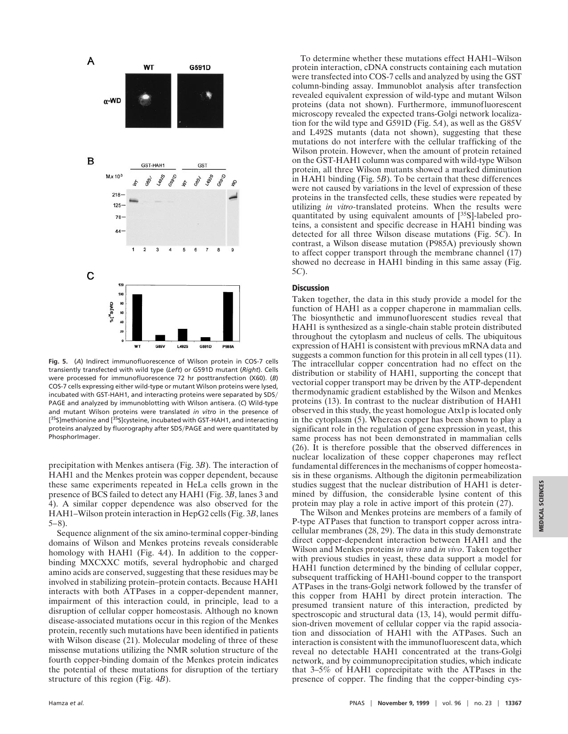

**Fig. 5.** (*A*) Indirect immunofluorescence of Wilson protein in COS-7 cells transiently transfected with wild type (*Left*) or G591D mutant (*Right*). Cells were processed for immunofluorescence 72 hr posttransfection (X60). (*B*) COS-7 cells expressing either wild-type or mutant Wilson proteins were lysed, incubated with GST-HAH1, and interacting proteins were separated by SDS/ PAGE and analyzed by immunoblotting with Wilson antisera. (*C*) Wild-type and mutant Wilson proteins were translated *in vitro* in the presence of [<sup>35</sup>S]methionine and [<sup>35</sup>S]cysteine, incubated with GST-HAH1, and interacting proteins analyzed by fluorography after SDS/PAGE and were quantitated by PhosphorImager.

precipitation with Menkes antisera (Fig. 3*B*). The interaction of HAH1 and the Menkes protein was copper dependent, because these same experiments repeated in HeLa cells grown in the presence of BCS failed to detect any HAH1 (Fig. 3*B*, lanes 3 and 4). A similar copper dependence was also observed for the HAH1–Wilson protein interaction in HepG2 cells (Fig. 3*B*, lanes 5–8).

Sequence alignment of the six amino-terminal copper-binding domains of Wilson and Menkes proteins reveals considerable homology with HAH1 (Fig. 4*A*). In addition to the copperbinding MXCXXC motifs, several hydrophobic and charged amino acids are conserved, suggesting that these residues may be involved in stabilizing protein–protein contacts. Because HAH1 interacts with both ATPases in a copper-dependent manner, impairment of this interaction could, in principle, lead to a disruption of cellular copper homeostasis. Although no known disease-associated mutations occur in this region of the Menkes protein, recently such mutations have been identified in patients with Wilson disease (21). Molecular modeling of three of these missense mutations utilizing the NMR solution structure of the fourth copper-binding domain of the Menkes protein indicates the potential of these mutations for disruption of the tertiary structure of this region (Fig. 4*B*).

To determine whether these mutations effect HAH1–Wilson protein interaction, cDNA constructs containing each mutation were transfected into COS-7 cells and analyzed by using the GST column-binding assay. Immunoblot analysis after transfection revealed equivalent expression of wild-type and mutant Wilson proteins (data not shown). Furthermore, immunofluorescent microscopy revealed the expected trans-Golgi network localization for the wild type and G591D (Fig. 5*A*), as well as the G85V and L492S mutants (data not shown), suggesting that these mutations do not interfere with the cellular trafficking of the Wilson protein. However, when the amount of protein retained on the GST-HAH1 column was compared with wild-type Wilson protein, all three Wilson mutants showed a marked diminution in HAH1 binding (Fig. 5*B*). To be certain that these differences were not caused by variations in the level of expression of these proteins in the transfected cells, these studies were repeated by utilizing *in vitro-*translated proteins. When the results were quantitated by using equivalent amounts of [35S]-labeled proteins, a consistent and specific decrease in HAH1 binding was detected for all three Wilson disease mutations (Fig. 5*C*). In contrast, a Wilson disease mutation (P985A) previously shown to affect copper transport through the membrane channel (17) showed no decrease in HAH1 binding in this same assay (Fig. 5*C*).

## **Discussion**

Taken together, the data in this study provide a model for the function of HAH1 as a copper chaperone in mammalian cells. The biosynthetic and immunofluorescent studies reveal that HAH1 is synthesized as a single-chain stable protein distributed throughout the cytoplasm and nucleus of cells. The ubiquitous expression of HAH1 is consistent with previous mRNA data and suggests a common function for this protein in all cell types (11). The intracellular copper concentration had no effect on the distribution or stability of HAH1, supporting the concept that vectorial copper transport may be driven by the ATP-dependent thermodynamic gradient established by the Wilson and Menkes proteins (13). In contrast to the nuclear distribution of HAH1 observed in this study, the yeast homologue Atx1p is located only in the cytoplasm (5). Whereas copper has been shown to play a significant role in the regulation of gene expression in yeast, this same process has not been demonstrated in mammalian cells (26). It is therefore possible that the observed differences in nuclear localization of these copper chaperones may reflect fundamental differences in the mechanisms of copper homeostasis in these organisms. Although the digitonin permeabilization studies suggest that the nuclear distribution of HAH1 is determined by diffusion, the considerable lysine content of this protein may play a role in active import of this protein (27).

The Wilson and Menkes proteins are members of a family of P-type ATPases that function to transport copper across intracellular membranes (28, 29). The data in this study demonstrate direct copper-dependent interaction between HAH1 and the Wilson and Menkes proteins *in vitro* and *in vivo*. Taken together with previous studies in yeast, these data support a model for HAH1 function determined by the binding of cellular copper, subsequent trafficking of HAH1-bound copper to the transport ATPases in the trans-Golgi network followed by the transfer of this copper from HAH1 by direct protein interaction. The presumed transient nature of this interaction, predicted by spectroscopic and structural data (13, 14), would permit diffusion-driven movement of cellular copper via the rapid association and dissociation of HAH1 with the ATPases. Such an interaction is consistent with the immunofluorescent data, which reveal no detectable HAH1 concentrated at the trans-Golgi network, and by coimmunoprecipitation studies, which indicate that 3–5% of HAH1 coprecipitate with the ATPases in the presence of copper. The finding that the copper-binding cys